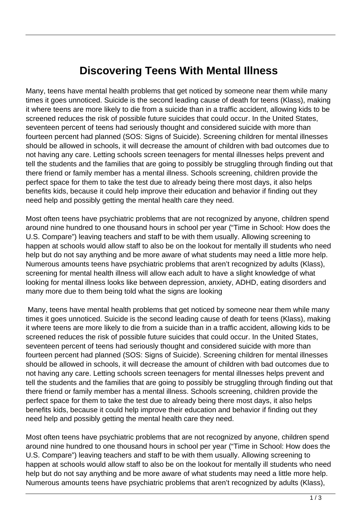## **Discovering Teens With Mental Illness**

Many, teens have mental health problems that get noticed by someone near them while many times it goes unnoticed. Suicide is the second leading cause of death for teens (Klass), making it where teens are more likely to die from a suicide than in a traffic accident, allowing kids to be screened reduces the risk of possible future suicides that could occur. In the United States, seventeen percent of teens had seriously thought and considered suicide with more than fourteen percent had planned (SOS: Signs of Suicide). Screening children for mental illnesses should be allowed in schools, it will decrease the amount of children with bad outcomes due to not having any care. Letting schools screen teenagers for mental illnesses helps prevent and tell the students and the families that are going to possibly be struggling through finding out that there friend or family member has a mental illness. Schools screening, children provide the perfect space for them to take the test due to already being there most days, it also helps benefits kids, because it could help improve their education and behavior if finding out they need help and possibly getting the mental health care they need.

Most often teens have psychiatric problems that are not recognized by anyone, children spend around nine hundred to one thousand hours in school per year ("Time in School: How does the U.S. Compare") leaving teachers and staff to be with them usually. Allowing screening to happen at schools would allow staff to also be on the lookout for mentally ill students who need help but do not say anything and be more aware of what students may need a little more help. Numerous amounts teens have psychiatric problems that aren't recognized by adults (Klass), screening for mental health illness will allow each adult to have a slight knowledge of what looking for mental illness looks like between depression, anxiety, ADHD, eating disorders and many more due to them being told what the signs are looking

 Many, teens have mental health problems that get noticed by someone near them while many times it goes unnoticed. Suicide is the second leading cause of death for teens (Klass), making it where teens are more likely to die from a suicide than in a traffic accident, allowing kids to be screened reduces the risk of possible future suicides that could occur. In the United States, seventeen percent of teens had seriously thought and considered suicide with more than fourteen percent had planned (SOS: Signs of Suicide). Screening children for mental illnesses should be allowed in schools, it will decrease the amount of children with bad outcomes due to not having any care. Letting schools screen teenagers for mental illnesses helps prevent and tell the students and the families that are going to possibly be struggling through finding out that there friend or family member has a mental illness. Schools screening, children provide the perfect space for them to take the test due to already being there most days, it also helps benefits kids, because it could help improve their education and behavior if finding out they need help and possibly getting the mental health care they need.

Most often teens have psychiatric problems that are not recognized by anyone, children spend around nine hundred to one thousand hours in school per year ("Time in School: How does the U.S. Compare") leaving teachers and staff to be with them usually. Allowing screening to happen at schools would allow staff to also be on the lookout for mentally ill students who need help but do not say anything and be more aware of what students may need a little more help. Numerous amounts teens have psychiatric problems that aren't recognized by adults (Klass),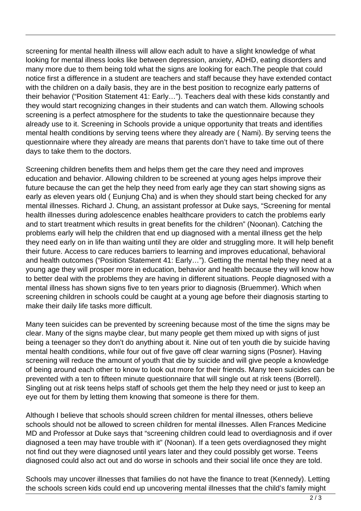screening for mental health illness will allow each adult to have a slight knowledge of what looking for mental illness looks like between depression, anxiety, ADHD, eating disorders and many more due to them being told what the signs are looking for each.The people that could notice first a difference in a student are teachers and staff because they have extended contact with the children on a daily basis, they are in the best position to recognize early patterns of their behavior ("Position Statement 41: Early…"). Teachers deal with these kids constantly and they would start recognizing changes in their students and can watch them. Allowing schools screening is a perfect atmosphere for the students to take the questionnaire because they already use to it. Screening in Schools provide a unique opportunity that treats and identifies mental health conditions by serving teens where they already are ( Nami). By serving teens the questionnaire where they already are means that parents don't have to take time out of there days to take them to the doctors.

Screening children benefits them and helps them get the care they need and improves education and behavior. Allowing children to be screened at young ages helps improve their future because the can get the help they need from early age they can start showing signs as early as eleven years old ( Eunjung Cha) and is when they should start being checked for any mental illnesses. Richard J. Chung, an assistant professor at Duke says, "Screening for mental health illnesses during adolescence enables healthcare providers to catch the problems early and to start treatment which results in great benefits for the children" (Noonan). Catching the problems early will help the children that end up diagnosed with a mental illness get the help they need early on in life than waiting until they are older and struggling more. It will help benefit their future. Access to care reduces barriers to learning and improves educational, behavioral and health outcomes ("Position Statement 41: Early…"). Getting the mental help they need at a young age they will prosper more in education, behavior and health because they will know how to better deal with the problems they are having in different situations. People diagnosed with a mental illness has shown signs five to ten years prior to diagnosis (Bruemmer). Which when screening children in schools could be caught at a young age before their diagnosis starting to make their daily life tasks more difficult.

Many teen suicides can be prevented by screening because most of the time the signs may be clear. Many of the signs maybe clear, but many people get them mixed up with signs of just being a teenager so they don't do anything about it. Nine out of ten youth die by suicide having mental health conditions, while four out of five gave off clear warning signs (Posner). Having screening will reduce the amount of youth that die by suicide and will give people a knowledge of being around each other to know to look out more for their friends. Many teen suicides can be prevented with a ten to fifteen minute questionnaire that will single out at risk teens (Borrell). Singling out at risk teens helps staff of schools get them the help they need or just to keep an eye out for them by letting them knowing that someone is there for them.

Although I believe that schools should screen children for mental illnesses, others believe schools should not be allowed to screen children for mental illnesses. Allen Frances Medicine MD and Professor at Duke says that "screening children could lead to overdiagnosis and if over diagnosed a teen may have trouble with it" (Noonan). If a teen gets overdiagnosed they might not find out they were diagnosed until years later and they could possibly get worse. Teens diagnosed could also act out and do worse in schools and their social life once they are told.

Schools may uncover illnesses that families do not have the finance to treat (Kennedy). Letting the schools screen kids could end up uncovering mental illnesses that the child's family might